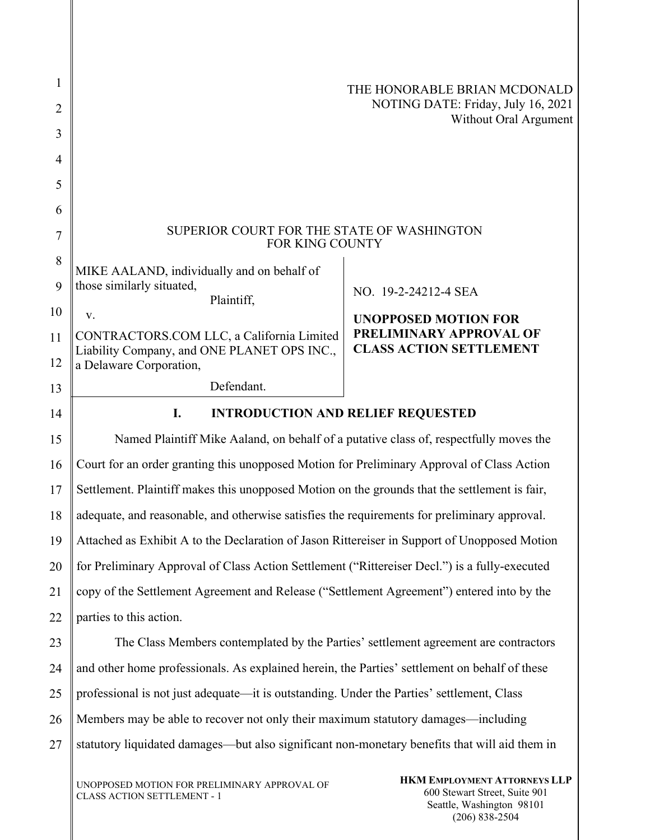| 1              |                                                                                               | THE HONORABLE BRIAN MCDONALD                                |
|----------------|-----------------------------------------------------------------------------------------------|-------------------------------------------------------------|
| $\overline{2}$ |                                                                                               | NOTING DATE: Friday, July 16, 2021<br>Without Oral Argument |
| 3              |                                                                                               |                                                             |
| 4              |                                                                                               |                                                             |
| 5              |                                                                                               |                                                             |
| 6              |                                                                                               |                                                             |
| 7              | SUPERIOR COURT FOR THE STATE OF WASHINGTON<br>FOR KING COUNTY                                 |                                                             |
| 8              | MIKE AALAND, individually and on behalf of                                                    |                                                             |
| 9              | those similarly situated,<br>Plaintiff,                                                       | NO. 19-2-24212-4 SEA                                        |
| 10             | V.                                                                                            | <b>UNOPPOSED MOTION FOR</b>                                 |
| 11             | CONTRACTORS.COM LLC, a California Limited<br>Liability Company, and ONE PLANET OPS INC.,      | PRELIMINARY APPROVAL OF<br><b>CLASS ACTION SETTLEMENT</b>   |
| 12             | a Delaware Corporation,                                                                       |                                                             |
| 13             | Defendant.                                                                                    |                                                             |
| 14             | <b>INTRODUCTION AND RELIEF REQUESTED</b><br>I.                                                |                                                             |
| 15             | Named Plaintiff Mike Aaland, on behalf of a putative class of, respectfully moves the         |                                                             |
| 16             | Court for an order granting this unopposed Motion for Preliminary Approval of Class Action    |                                                             |
| 17             | Settlement. Plaintiff makes this unopposed Motion on the grounds that the settlement is fair, |                                                             |
| 18             | adequate, and reasonable, and otherwise satisfies the requirements for preliminary approval.  |                                                             |
| 19             | Attached as Exhibit A to the Declaration of Jason Rittereiser in Support of Unopposed Motion  |                                                             |
| 20             | for Preliminary Approval of Class Action Settlement ("Rittereiser Decl.") is a fully-executed |                                                             |
| 21             | copy of the Settlement Agreement and Release ("Settlement Agreement") entered into by the     |                                                             |
| 22             | parties to this action.                                                                       |                                                             |
| 23             | The Class Members contemplated by the Parties' settlement agreement are contractors           |                                                             |
| 24             | and other home professionals. As explained herein, the Parties' settlement on behalf of these |                                                             |
| 25             | professional is not just adequate—it is outstanding. Under the Parties' settlement, Class     |                                                             |
| 26             | Members may be able to recover not only their maximum statutory damages—including             |                                                             |
| 27             | statutory liquidated damages—but also significant non-monetary benefits that will aid them in |                                                             |
|                |                                                                                               |                                                             |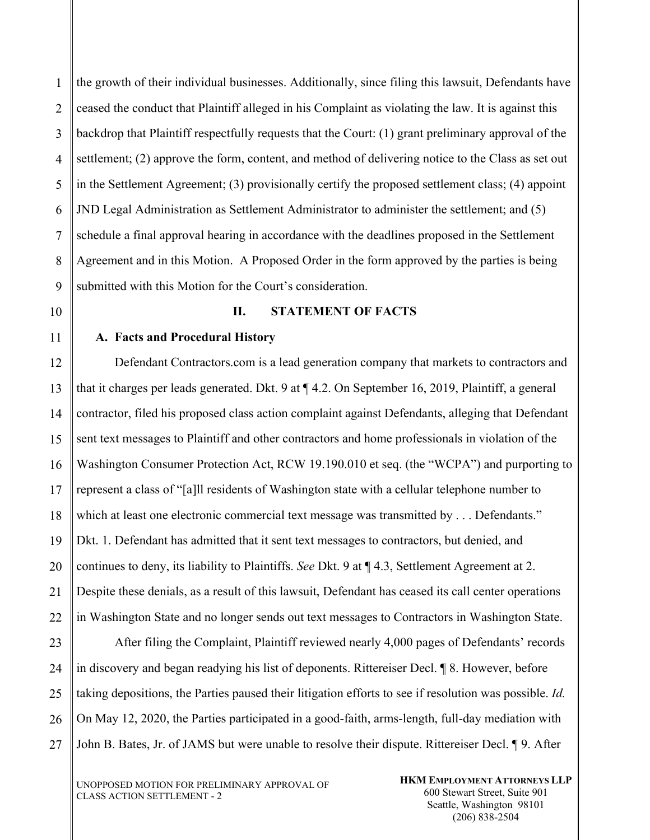1 2 3 4 5 6 7 8 9 the growth of their individual businesses. Additionally, since filing this lawsuit, Defendants have ceased the conduct that Plaintiff alleged in his Complaint as violating the law. It is against this backdrop that Plaintiff respectfully requests that the Court: (1) grant preliminary approval of the settlement; (2) approve the form, content, and method of delivering notice to the Class as set out in the Settlement Agreement; (3) provisionally certify the proposed settlement class; (4) appoint JND Legal Administration as Settlement Administrator to administer the settlement; and (5) schedule a final approval hearing in accordance with the deadlines proposed in the Settlement Agreement and in this Motion. A Proposed Order in the form approved by the parties is being submitted with this Motion for the Court's consideration.

10

11

#### **II. STATEMENT OF FACTS**

#### **A. Facts and Procedural History**

12 13 14 15 16 17 18 19 20 21 22 23 Defendant Contractors.com is a lead generation company that markets to contractors and that it charges per leads generated. Dkt. 9 at ¶ 4.2. On September 16, 2019, Plaintiff, a general contractor, filed his proposed class action complaint against Defendants, alleging that Defendant sent text messages to Plaintiff and other contractors and home professionals in violation of the Washington Consumer Protection Act, RCW 19.190.010 et seq. (the "WCPA") and purporting to represent a class of "[a]ll residents of Washington state with a cellular telephone number to which at least one electronic commercial text message was transmitted by . . . Defendants." Dkt. 1. Defendant has admitted that it sent text messages to contractors, but denied, and continues to deny, its liability to Plaintiffs. *See* Dkt. 9 at ¶ 4.3, Settlement Agreement at 2. Despite these denials, as a result of this lawsuit, Defendant has ceased its call center operations in Washington State and no longer sends out text messages to Contractors in Washington State. After filing the Complaint, Plaintiff reviewed nearly 4,000 pages of Defendants' records

24 25 26 27 in discovery and began readying his list of deponents. Rittereiser Decl. ¶ 8. However, before taking depositions, the Parties paused their litigation efforts to see if resolution was possible. *Id.* On May 12, 2020, the Parties participated in a good-faith, arms-length, full-day mediation with John B. Bates, Jr. of JAMS but were unable to resolve their dispute. Rittereiser Decl. ¶ 9. After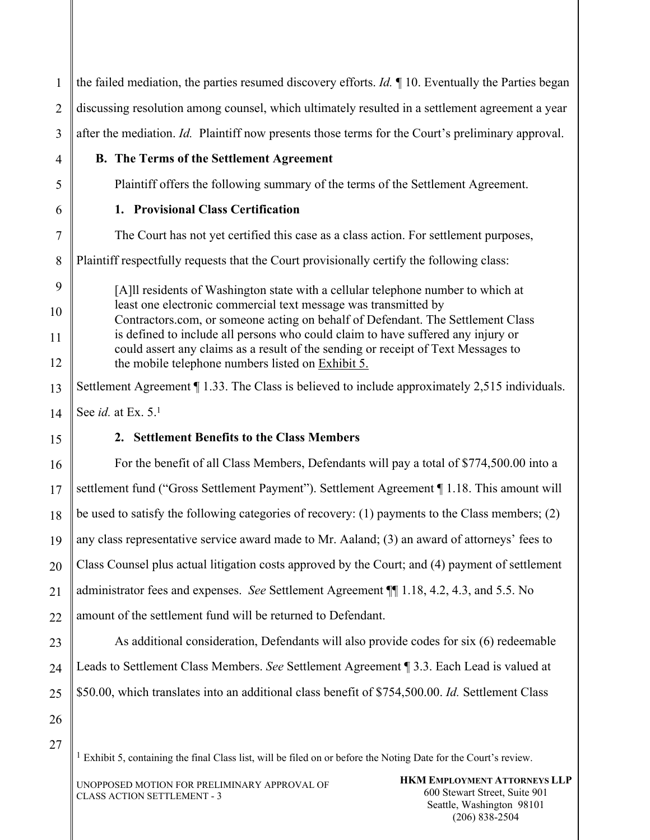| $\mathbf{1}$   | the failed mediation, the parties resumed discovery efforts. $Id$ . $\P$ 10. Eventually the Parties began                                                             |  |  |
|----------------|-----------------------------------------------------------------------------------------------------------------------------------------------------------------------|--|--|
| 2              | discussing resolution among counsel, which ultimately resulted in a settlement agreement a year                                                                       |  |  |
| $\overline{3}$ | after the mediation. Id. Plaintiff now presents those terms for the Court's preliminary approval.                                                                     |  |  |
| 4              | <b>B.</b> The Terms of the Settlement Agreement                                                                                                                       |  |  |
| 5              | Plaintiff offers the following summary of the terms of the Settlement Agreement.                                                                                      |  |  |
| 6              | 1. Provisional Class Certification                                                                                                                                    |  |  |
| $\overline{7}$ | The Court has not yet certified this case as a class action. For settlement purposes,                                                                                 |  |  |
| 8              | Plaintiff respectfully requests that the Court provisionally certify the following class:                                                                             |  |  |
| 9              | [A]ll residents of Washington state with a cellular telephone number to which at                                                                                      |  |  |
| 10             | least one electronic commercial text message was transmitted by<br>Contractors.com, or someone acting on behalf of Defendant. The Settlement Class                    |  |  |
| 11             | is defined to include all persons who could claim to have suffered any injury or<br>could assert any claims as a result of the sending or receipt of Text Messages to |  |  |
| 12             | the mobile telephone numbers listed on Exhibit 5.                                                                                                                     |  |  |
| 13             | Settlement Agreement ¶ 1.33. The Class is believed to include approximately 2,515 individuals.                                                                        |  |  |
| 14             | See id. at Ex. 5.1                                                                                                                                                    |  |  |
| 15             | 2. Settlement Benefits to the Class Members                                                                                                                           |  |  |
| 16             | For the benefit of all Class Members, Defendants will pay a total of \$774,500.00 into a                                                                              |  |  |
| 17             | settlement fund ("Gross Settlement Payment"). Settlement Agreement ¶ 1.18. This amount will                                                                           |  |  |
| 18             | be used to satisfy the following categories of recovery: (1) payments to the Class members; (2)                                                                       |  |  |
| 19             | any class representative service award made to Mr. Aaland; (3) an award of attorneys' fees to                                                                         |  |  |
| 20             | Class Counsel plus actual litigation costs approved by the Court; and (4) payment of settlement                                                                       |  |  |
| 21             | administrator fees and expenses. See Settlement Agreement ¶ 1.18, 4.2, 4.3, and 5.5. No                                                                               |  |  |
| 22             | amount of the settlement fund will be returned to Defendant.                                                                                                          |  |  |
| 23             | As additional consideration, Defendants will also provide codes for six (6) redeemable                                                                                |  |  |
| 24             | Leads to Settlement Class Members. See Settlement Agreement ¶ 3.3. Each Lead is valued at                                                                             |  |  |
| 25             | \$50.00, which translates into an additional class benefit of \$754,500.00. Id. Settlement Class                                                                      |  |  |
| 26             |                                                                                                                                                                       |  |  |
| 27             |                                                                                                                                                                       |  |  |
|                | <sup>1</sup> Exhibit 5, containing the final Class list, will be filed on or before the Noting Date for the Court's review.                                           |  |  |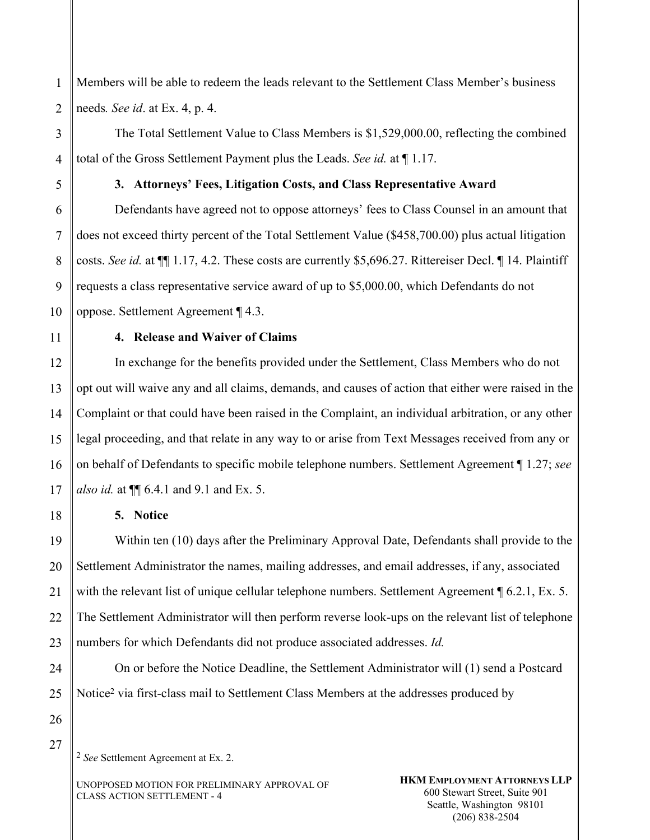1 2 Members will be able to redeem the leads relevant to the Settlement Class Member's business needs*. See id*. at Ex. 4, p. 4.

The Total Settlement Value to Class Members is \$1,529,000.00, reflecting the combined total of the Gross Settlement Payment plus the Leads. *See id.* at ¶ 1.17.

5

6

7

8

9

3

4

## **3. Attorneys' Fees, Litigation Costs, and Class Representative Award**

Defendants have agreed not to oppose attorneys' fees to Class Counsel in an amount that does not exceed thirty percent of the Total Settlement Value (\$458,700.00) plus actual litigation costs. *See id.* at ¶¶ 1.17, 4.2. These costs are currently \$5,696.27. Rittereiser Decl. ¶ 14. Plaintiff requests a class representative service award of up to \$5,000.00, which Defendants do not oppose. Settlement Agreement ¶ 4.3.

10 11

18

## **4. Release and Waiver of Claims**

12 13 14 15 16 17 In exchange for the benefits provided under the Settlement, Class Members who do not opt out will waive any and all claims, demands, and causes of action that either were raised in the Complaint or that could have been raised in the Complaint, an individual arbitration, or any other legal proceeding, and that relate in any way to or arise from Text Messages received from any or on behalf of Defendants to specific mobile telephone numbers. Settlement Agreement ¶ 1.27; *see also id.* at  $\P$  6.4.1 and 9.1 and Ex. 5.

## **5. Notice**

19 20 21 22 23 Within ten (10) days after the Preliminary Approval Date, Defendants shall provide to the Settlement Administrator the names, mailing addresses, and email addresses, if any, associated with the relevant list of unique cellular telephone numbers. Settlement Agreement ¶ 6.2.1, Ex. 5. The Settlement Administrator will then perform reverse look-ups on the relevant list of telephone numbers for which Defendants did not produce associated addresses. *Id.* 

On or before the Notice Deadline, the Settlement Administrator will (1) send a Postcard Notice2 via first-class mail to Settlement Class Members at the addresses produced by

27

24

25

26

2 *See* Settlement Agreement at Ex. 2.

UNOPPOSED MOTION FOR PRELIMINARY APPROVAL OF CLASS ACTION SETTLEMENT - 4

**HKM EMPLOYMENT ATTORNEYS LLP**  600 Stewart Street, Suite 901 Seattle, Washington 98101 (206) 838-2504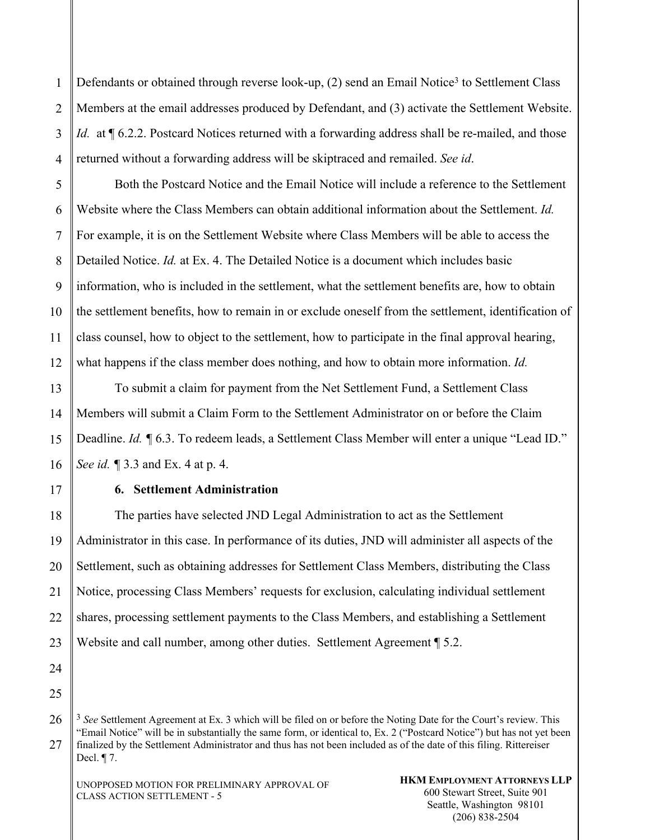1 2 3 4 Defendants or obtained through reverse look-up, (2) send an Email Notice<sup>3</sup> to Settlement Class Members at the email addresses produced by Defendant, and (3) activate the Settlement Website. *Id.* at ¶ 6.2.2. Postcard Notices returned with a forwarding address shall be re-mailed, and those returned without a forwarding address will be skiptraced and remailed. *See id*.

5 6 7 8 9 10 11 12 Both the Postcard Notice and the Email Notice will include a reference to the Settlement Website where the Class Members can obtain additional information about the Settlement. *Id.*  For example, it is on the Settlement Website where Class Members will be able to access the Detailed Notice. *Id.* at Ex. 4. The Detailed Notice is a document which includes basic information, who is included in the settlement, what the settlement benefits are, how to obtain the settlement benefits, how to remain in or exclude oneself from the settlement, identification of class counsel, how to object to the settlement, how to participate in the final approval hearing, what happens if the class member does nothing, and how to obtain more information. *Id.* 

13 14 15 16 To submit a claim for payment from the Net Settlement Fund, a Settlement Class Members will submit a Claim Form to the Settlement Administrator on or before the Claim Deadline. *Id.* **[6.3.** To redeem leads, a Settlement Class Member will enter a unique "Lead ID." *See id.* 13.3 and Ex. 4 at p. 4.

17

## **6. Settlement Administration**

18 19 20 21 22 23 The parties have selected JND Legal Administration to act as the Settlement Administrator in this case. In performance of its duties, JND will administer all aspects of the Settlement, such as obtaining addresses for Settlement Class Members, distributing the Class Notice, processing Class Members' requests for exclusion, calculating individual settlement shares, processing settlement payments to the Class Members, and establishing a Settlement Website and call number, among other duties. Settlement Agreement ¶ 5.2.

24 25

<sup>26</sup> 27 3 *See* Settlement Agreement at Ex. 3 which will be filed on or before the Noting Date for the Court's review. This "Email Notice" will be in substantially the same form, or identical to, Ex. 2 ("Postcard Notice") but has not yet been finalized by the Settlement Administrator and thus has not been included as of the date of this filing. Rittereiser Decl. ¶ 7.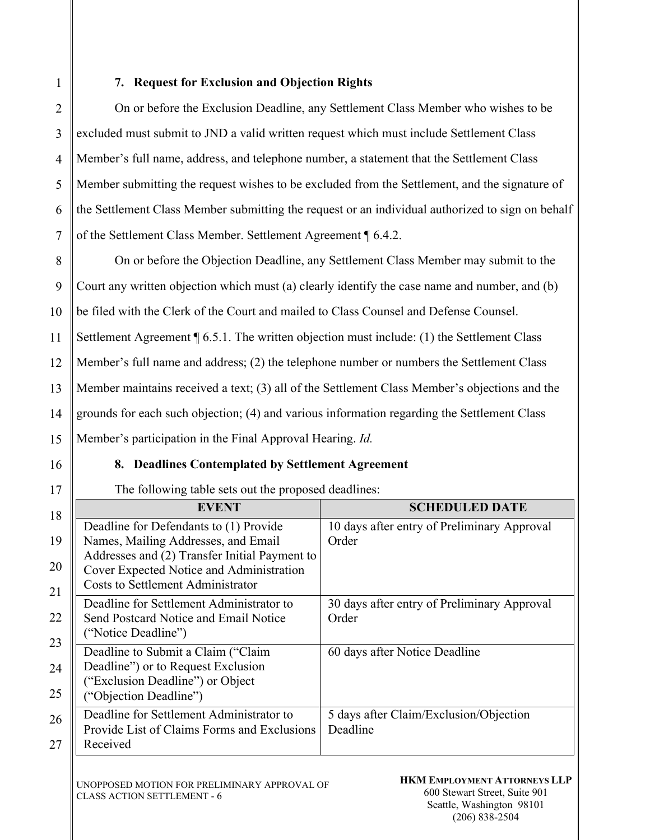1

# **7. Request for Exclusion and Objection Rights**

2 3 4 5 6 7 On or before the Exclusion Deadline, any Settlement Class Member who wishes to be excluded must submit to JND a valid written request which must include Settlement Class Member's full name, address, and telephone number, a statement that the Settlement Class Member submitting the request wishes to be excluded from the Settlement, and the signature of the Settlement Class Member submitting the request or an individual authorized to sign on behalf of the Settlement Class Member. Settlement Agreement ¶ 6.4.2.

8 9 10 11 12 13 14 15 On or before the Objection Deadline, any Settlement Class Member may submit to the Court any written objection which must (a) clearly identify the case name and number, and (b) be filed with the Clerk of the Court and mailed to Class Counsel and Defense Counsel. Settlement Agreement ¶ 6.5.1. The written objection must include: (1) the Settlement Class Member's full name and address; (2) the telephone number or numbers the Settlement Class Member maintains received a text; (3) all of the Settlement Class Member's objections and the grounds for each such objection; (4) and various information regarding the Settlement Class Member's participation in the Final Approval Hearing. *Id.*

16

17

## **8. Deadlines Contemplated by Settlement Agreement**

The following table sets out the proposed deadlines:

| 18 | <b>EVENT</b>                                  | <b>SCHEDULED DATE</b>                       |
|----|-----------------------------------------------|---------------------------------------------|
|    | Deadline for Defendants to (1) Provide        | 10 days after entry of Preliminary Approval |
| 19 | Names, Mailing Addresses, and Email           | Order                                       |
| 20 | Addresses and (2) Transfer Initial Payment to |                                             |
|    | Cover Expected Notice and Administration      |                                             |
| 21 | <b>Costs to Settlement Administrator</b>      |                                             |
|    | Deadline for Settlement Administrator to      | 30 days after entry of Preliminary Approval |
| 22 | Send Postcard Notice and Email Notice         | Order                                       |
| 23 | ("Notice Deadline")                           |                                             |
|    | Deadline to Submit a Claim ("Claim            | 60 days after Notice Deadline               |
| 24 | Deadline") or to Request Exclusion            |                                             |
| 25 | ("Exclusion Deadline") or Object              |                                             |
|    | ("Objection Deadline")                        |                                             |
| 26 | Deadline for Settlement Administrator to      | 5 days after Claim/Exclusion/Objection      |
|    | Provide List of Claims Forms and Exclusions   | Deadline                                    |
| 27 | Received                                      |                                             |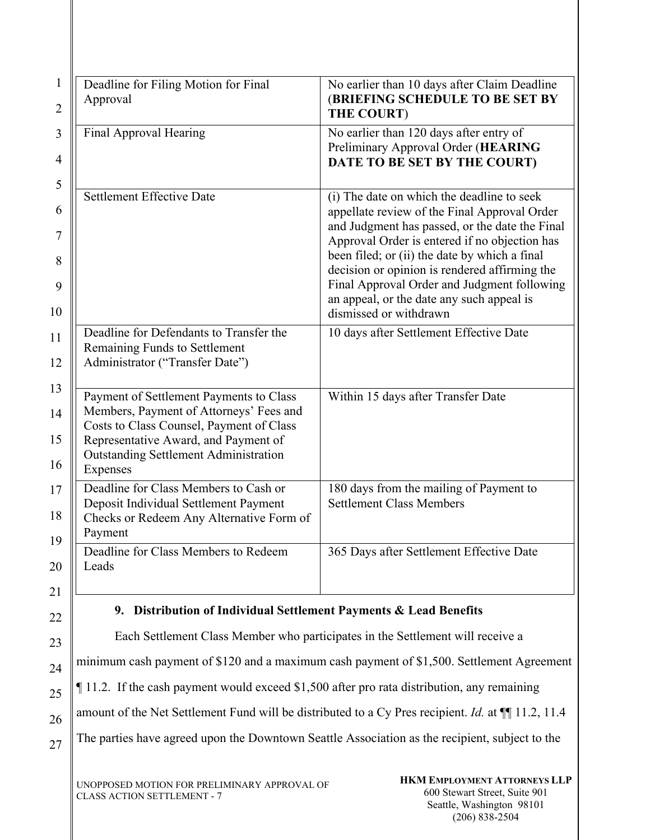| $\mathbf{1}$<br>$\overline{2}$   | Deadline for Filing Motion for Final<br>Approval                                                                                                                                                                                   | No earlier than 10 days after Claim Deadline<br>(BRIEFING SCHEDULE TO BE SET BY<br><b>THE COURT)</b>                                                                                                                                                                                                                                                                                                                  |
|----------------------------------|------------------------------------------------------------------------------------------------------------------------------------------------------------------------------------------------------------------------------------|-----------------------------------------------------------------------------------------------------------------------------------------------------------------------------------------------------------------------------------------------------------------------------------------------------------------------------------------------------------------------------------------------------------------------|
| $\mathfrak{Z}$<br>$\overline{4}$ | Final Approval Hearing                                                                                                                                                                                                             | No earlier than 120 days after entry of<br>Preliminary Approval Order (HEARING<br>DATE TO BE SET BY THE COURT)                                                                                                                                                                                                                                                                                                        |
| 5<br>6<br>7<br>8<br>9<br>10      | <b>Settlement Effective Date</b>                                                                                                                                                                                                   | (i) The date on which the deadline to seek<br>appellate review of the Final Approval Order<br>and Judgment has passed, or the date the Final<br>Approval Order is entered if no objection has<br>been filed; or (ii) the date by which a final<br>decision or opinion is rendered affirming the<br>Final Approval Order and Judgment following<br>an appeal, or the date any such appeal is<br>dismissed or withdrawn |
| 11<br>12                         | Deadline for Defendants to Transfer the<br>Remaining Funds to Settlement<br>Administrator ("Transfer Date")                                                                                                                        | 10 days after Settlement Effective Date                                                                                                                                                                                                                                                                                                                                                                               |
| 13<br>14<br>15<br>16             | Payment of Settlement Payments to Class<br>Members, Payment of Attorneys' Fees and<br>Costs to Class Counsel, Payment of Class<br>Representative Award, and Payment of<br><b>Outstanding Settlement Administration</b><br>Expenses | Within 15 days after Transfer Date                                                                                                                                                                                                                                                                                                                                                                                    |
| 17<br>18<br>19                   | Deadline for Class Members to Cash or<br>Deposit Individual Settlement Payment<br>Checks or Redeem Any Alternative Form of<br>Payment                                                                                              | 180 days from the mailing of Payment to<br><b>Settlement Class Members</b>                                                                                                                                                                                                                                                                                                                                            |
| 20<br>21                         | Deadline for Class Members to Redeem<br>Leads                                                                                                                                                                                      | 365 Days after Settlement Effective Date                                                                                                                                                                                                                                                                                                                                                                              |
| 22                               | Distribution of Individual Settlement Payments & Lead Benefits<br>9.                                                                                                                                                               |                                                                                                                                                                                                                                                                                                                                                                                                                       |
| 23                               | Each Settlement Class Member who participates in the Settlement will receive a<br>minimum cash payment of \$120 and a maximum cash payment of \$1,500. Settlement Agreement                                                        |                                                                                                                                                                                                                                                                                                                                                                                                                       |
| 24                               |                                                                                                                                                                                                                                    |                                                                                                                                                                                                                                                                                                                                                                                                                       |

25 ¶ 11.2. If the cash payment would exceed \$1,500 after pro rata distribution, any remaining

amount of the Net Settlement Fund will be distributed to a Cy Pres recipient. *Id.* at  $\P$  11.2, 11.4

The parties have agreed upon the Downtown Seattle Association as the recipient, subject to the

26

27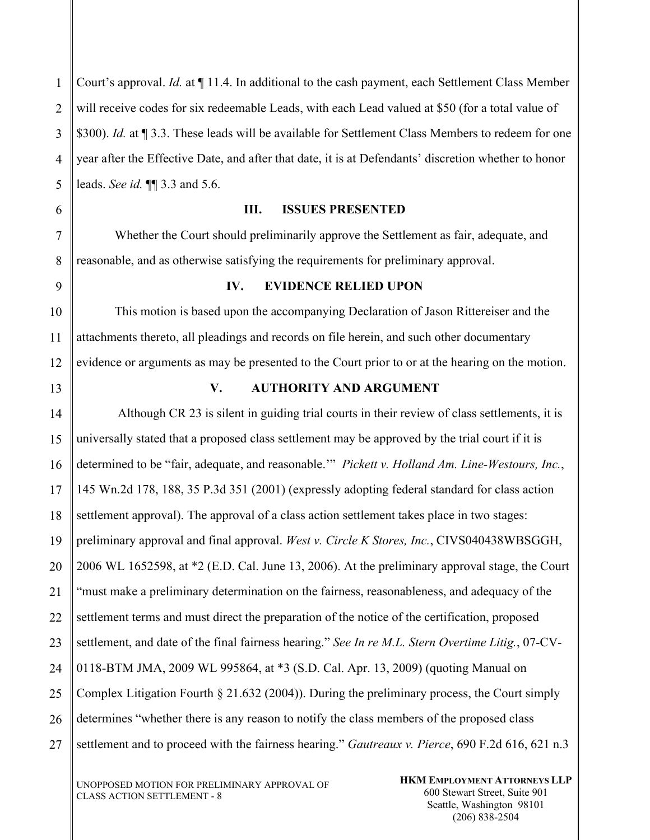1 2 3 4 5 Court's approval. *Id.* at ¶ 11.4. In additional to the cash payment, each Settlement Class Member will receive codes for six redeemable Leads, with each Lead valued at \$50 (for a total value of \$300). *Id.* at ¶ 3.3. These leads will be available for Settlement Class Members to redeem for one year after the Effective Date, and after that date, it is at Defendants' discretion whether to honor leads. *See id.* ¶¶ 3.3 and 5.6.

#### **III. ISSUES PRESENTED**

Whether the Court should preliminarily approve the Settlement as fair, adequate, and reasonable, and as otherwise satisfying the requirements for preliminary approval.

#### 9

6

7

8

10

11

12

#### **IV. EVIDENCE RELIED UPON**

This motion is based upon the accompanying Declaration of Jason Rittereiser and the attachments thereto, all pleadings and records on file herein, and such other documentary evidence or arguments as may be presented to the Court prior to or at the hearing on the motion.

13

## **V. AUTHORITY AND ARGUMENT**

14 15 16 17 18 19 20 21 22 23 24 25 26 27 Although CR 23 is silent in guiding trial courts in their review of class settlements, it is universally stated that a proposed class settlement may be approved by the trial court if it is determined to be "fair, adequate, and reasonable.'" *Pickett v. Holland Am. Line-Westours, Inc.*, 145 Wn.2d 178, 188, 35 P.3d 351 (2001) (expressly adopting federal standard for class action settlement approval). The approval of a class action settlement takes place in two stages: preliminary approval and final approval. *West v. Circle K Stores, Inc.*, CIVS040438WBSGGH, 2006 WL 1652598, at \*2 (E.D. Cal. June 13, 2006). At the preliminary approval stage, the Court "must make a preliminary determination on the fairness, reasonableness, and adequacy of the settlement terms and must direct the preparation of the notice of the certification, proposed settlement, and date of the final fairness hearing." *See In re M.L. Stern Overtime Litig.*, 07-CV-0118-BTM JMA, 2009 WL 995864, at \*3 (S.D. Cal. Apr. 13, 2009) (quoting Manual on Complex Litigation Fourth § 21.632 (2004)). During the preliminary process, the Court simply determines "whether there is any reason to notify the class members of the proposed class settlement and to proceed with the fairness hearing." *Gautreaux v. Pierce*, 690 F.2d 616, 621 n.3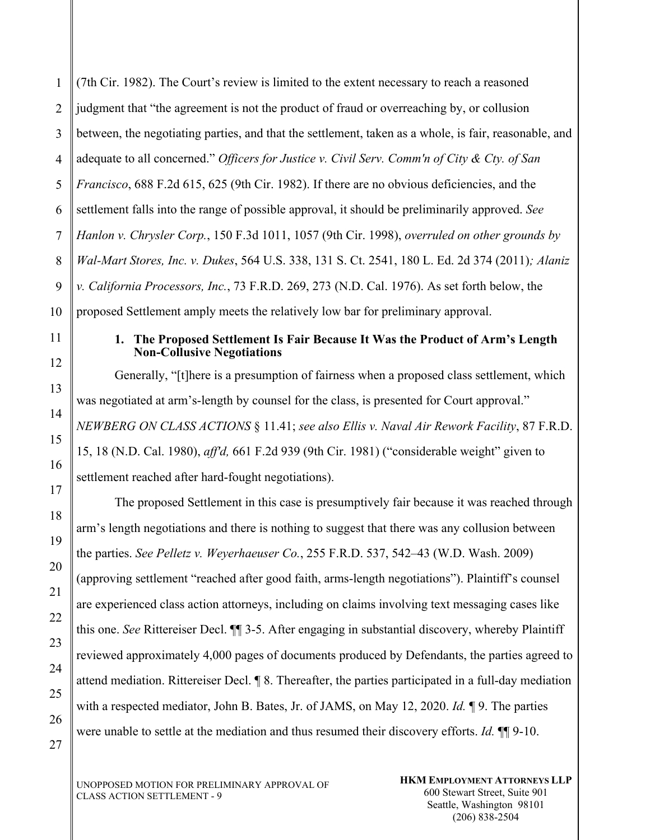1 2 3 (7th Cir. 1982). The Court's review is limited to the extent necessary to reach a reasoned judgment that "the agreement is not the product of fraud or overreaching by, or collusion between, the negotiating parties, and that the settlement, taken as a whole, is fair, reasonable, and adequate to all concerned." *Officers for Justice v. Civil Serv. Comm'n of City & Cty. of San Francisco*, 688 F.2d 615, 625 (9th Cir. 1982). If there are no obvious deficiencies, and the settlement falls into the range of possible approval, it should be preliminarily approved. *See Hanlon v. Chrysler Corp.*, 150 F.3d 1011, 1057 (9th Cir. 1998), *overruled on other grounds by Wal-Mart Stores, Inc. v. Dukes*, 564 U.S. 338, 131 S. Ct. 2541, 180 L. Ed. 2d 374 (2011)*; Alaniz v. California Processors, Inc.*, 73 F.R.D. 269, 273 (N.D. Cal. 1976). As set forth below, the proposed Settlement amply meets the relatively low bar for preliminary approval.

## **1. The Proposed Settlement Is Fair Because It Was the Product of Arm's Length Non-Collusive Negotiations**

Generally, "[t]here is a presumption of fairness when a proposed class settlement, which was negotiated at arm's-length by counsel for the class, is presented for Court approval." *NEWBERG ON CLASS ACTIONS* § 11.41; *see also Ellis v. Naval Air Rework Facility*, 87 F.R.D. 15, 18 (N.D. Cal. 1980), *aff'd,* 661 F.2d 939 (9th Cir. 1981) ("considerable weight" given to settlement reached after hard-fought negotiations).

The proposed Settlement in this case is presumptively fair because it was reached through arm's length negotiations and there is nothing to suggest that there was any collusion between the parties. *See Pelletz v. Weyerhaeuser Co.*, 255 F.R.D. 537, 542–43 (W.D. Wash. 2009) (approving settlement "reached after good faith, arms-length negotiations"). Plaintiff's counsel are experienced class action attorneys, including on claims involving text messaging cases like this one. *See* Rittereiser Decl. ¶¶ 3-5. After engaging in substantial discovery, whereby Plaintiff reviewed approximately 4,000 pages of documents produced by Defendants, the parties agreed to attend mediation. Rittereiser Decl. ¶ 8. Thereafter, the parties participated in a full-day mediation with a respected mediator, John B. Bates, Jr. of JAMS, on May 12, 2020. *Id.* ¶ 9. The parties were unable to settle at the mediation and thus resumed their discovery efforts. *Id.* ¶¶ 9-10.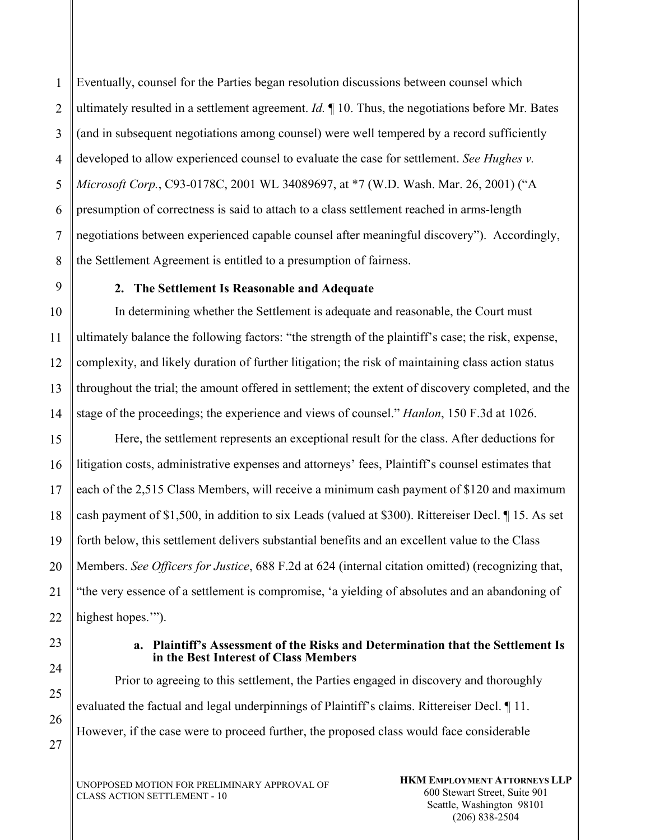1 2 3 4 5 6 7 Eventually, counsel for the Parties began resolution discussions between counsel which ultimately resulted in a settlement agreement. *Id.* ¶ 10. Thus, the negotiations before Mr. Bates (and in subsequent negotiations among counsel) were well tempered by a record sufficiently developed to allow experienced counsel to evaluate the case for settlement. *See Hughes v. Microsoft Corp.*, C93-0178C, 2001 WL 34089697, at \*7 (W.D. Wash. Mar. 26, 2001) ("A presumption of correctness is said to attach to a class settlement reached in arms-length negotiations between experienced capable counsel after meaningful discovery"). Accordingly, the Settlement Agreement is entitled to a presumption of fairness.

## **2. The Settlement Is Reasonable and Adequate**

In determining whether the Settlement is adequate and reasonable, the Court must ultimately balance the following factors: "the strength of the plaintiff's case; the risk, expense, complexity, and likely duration of further litigation; the risk of maintaining class action status throughout the trial; the amount offered in settlement; the extent of discovery completed, and the stage of the proceedings; the experience and views of counsel." *Hanlon*, 150 F.3d at 1026.

Here, the settlement represents an exceptional result for the class. After deductions for litigation costs, administrative expenses and attorneys' fees, Plaintiff's counsel estimates that each of the 2,515 Class Members, will receive a minimum cash payment of \$120 and maximum cash payment of \$1,500, in addition to six Leads (valued at \$300). Rittereiser Decl. ¶ 15. As set forth below, this settlement delivers substantial benefits and an excellent value to the Class Members. *See Officers for Justice*, 688 F.2d at 624 (internal citation omitted) (recognizing that, "the very essence of a settlement is compromise, 'a yielding of absolutes and an abandoning of highest hopes."").

#### **a. Plaintiff's Assessment of the Risks and Determination that the Settlement Is in the Best Interest of Class Members**

Prior to agreeing to this settlement, the Parties engaged in discovery and thoroughly evaluated the factual and legal underpinnings of Plaintiff's claims. Rittereiser Decl. ¶ 11. However, if the case were to proceed further, the proposed class would face considerable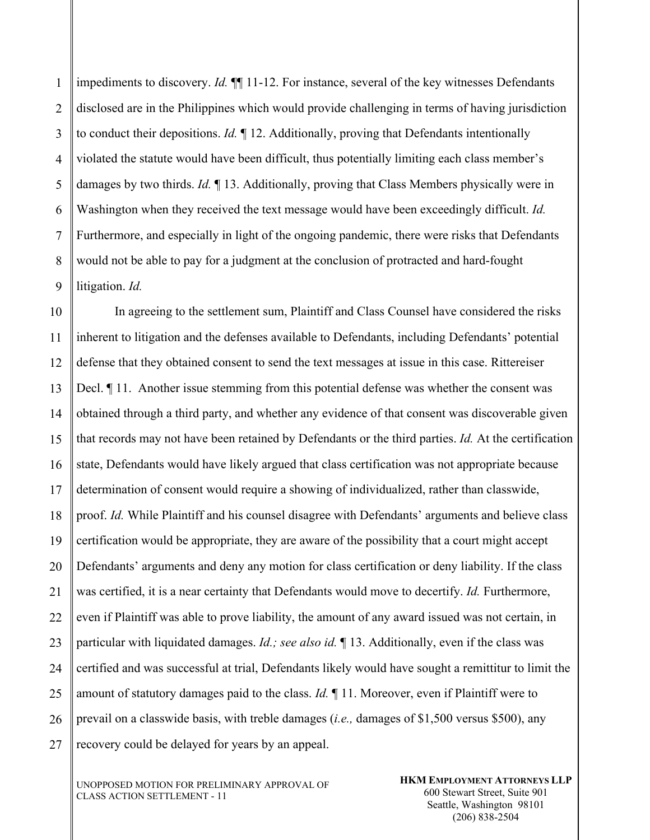1 2 3 4 5 6 7 8 9 impediments to discovery. *Id.*  $\P\P$  11-12. For instance, several of the key witnesses Defendants disclosed are in the Philippines which would provide challenging in terms of having jurisdiction to conduct their depositions. *Id.* ¶ 12. Additionally, proving that Defendants intentionally violated the statute would have been difficult, thus potentially limiting each class member's damages by two thirds. *Id.* ¶ 13. Additionally, proving that Class Members physically were in Washington when they received the text message would have been exceedingly difficult. *Id.*  Furthermore, and especially in light of the ongoing pandemic, there were risks that Defendants would not be able to pay for a judgment at the conclusion of protracted and hard-fought litigation. *Id.* 

10 11 12 13 14 15 16 17 18 19 20 21 22 23 24 25 26 27 In agreeing to the settlement sum, Plaintiff and Class Counsel have considered the risks inherent to litigation and the defenses available to Defendants, including Defendants' potential defense that they obtained consent to send the text messages at issue in this case. Rittereiser Decl. ¶ 11. Another issue stemming from this potential defense was whether the consent was obtained through a third party, and whether any evidence of that consent was discoverable given that records may not have been retained by Defendants or the third parties. *Id.* At the certification state, Defendants would have likely argued that class certification was not appropriate because determination of consent would require a showing of individualized, rather than classwide, proof. *Id.* While Plaintiff and his counsel disagree with Defendants' arguments and believe class certification would be appropriate, they are aware of the possibility that a court might accept Defendants' arguments and deny any motion for class certification or deny liability. If the class was certified, it is a near certainty that Defendants would move to decertify. *Id.* Furthermore, even if Plaintiff was able to prove liability, the amount of any award issued was not certain, in particular with liquidated damages. *Id.; see also id.* ¶ 13. Additionally, even if the class was certified and was successful at trial, Defendants likely would have sought a remittitur to limit the amount of statutory damages paid to the class. *Id.* ¶ 11. Moreover, even if Plaintiff were to prevail on a classwide basis, with treble damages (*i.e.,* damages of \$1,500 versus \$500), any recovery could be delayed for years by an appeal.

UNOPPOSED MOTION FOR PRELIMINARY APPROVAL OF CLASS ACTION SETTLEMENT - 11

**HKM EMPLOYMENT ATTORNEYS LLP**  600 Stewart Street, Suite 901 Seattle, Washington 98101 (206) 838-2504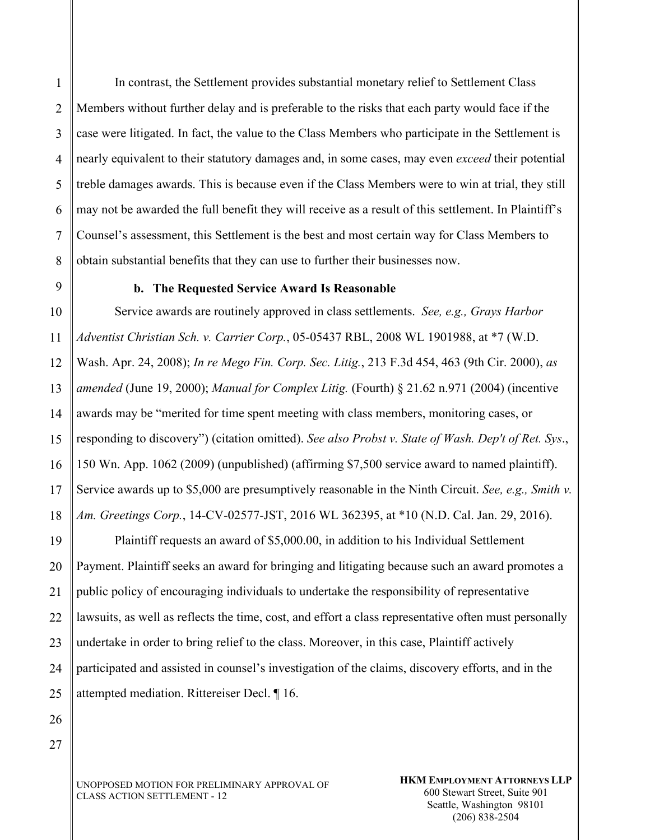1 2 3 4 5 6 7 8 In contrast, the Settlement provides substantial monetary relief to Settlement Class Members without further delay and is preferable to the risks that each party would face if the case were litigated. In fact, the value to the Class Members who participate in the Settlement is nearly equivalent to their statutory damages and, in some cases, may even *exceed* their potential treble damages awards. This is because even if the Class Members were to win at trial, they still may not be awarded the full benefit they will receive as a result of this settlement. In Plaintiff's Counsel's assessment, this Settlement is the best and most certain way for Class Members to obtain substantial benefits that they can use to further their businesses now.

9

#### **b. The Requested Service Award Is Reasonable**

10 11 12 13 14 15 16 17 18 Service awards are routinely approved in class settlements. *See, e.g., Grays Harbor Adventist Christian Sch. v. Carrier Corp.*, 05-05437 RBL, 2008 WL 1901988, at \*7 (W.D. Wash. Apr. 24, 2008); *In re Mego Fin. Corp. Sec. Litig.*, 213 F.3d 454, 463 (9th Cir. 2000), *as amended* (June 19, 2000); *Manual for Complex Litig.* (Fourth) § 21.62 n.971 (2004) (incentive awards may be "merited for time spent meeting with class members, monitoring cases, or responding to discovery") (citation omitted). *See also Probst v. State of Wash. Dep't of Ret. Sys*., 150 Wn. App. 1062 (2009) (unpublished) (affirming \$7,500 service award to named plaintiff). Service awards up to \$5,000 are presumptively reasonable in the Ninth Circuit. *See, e.g., Smith v. Am. Greetings Corp.*, 14-CV-02577-JST, 2016 WL 362395, at \*10 (N.D. Cal. Jan. 29, 2016).

19 20 21 22 23 24 25 Plaintiff requests an award of \$5,000.00, in addition to his Individual Settlement Payment. Plaintiff seeks an award for bringing and litigating because such an award promotes a public policy of encouraging individuals to undertake the responsibility of representative lawsuits, as well as reflects the time, cost, and effort a class representative often must personally undertake in order to bring relief to the class. Moreover, in this case, Plaintiff actively participated and assisted in counsel's investigation of the claims, discovery efforts, and in the attempted mediation. Rittereiser Decl. ¶ 16.

27

26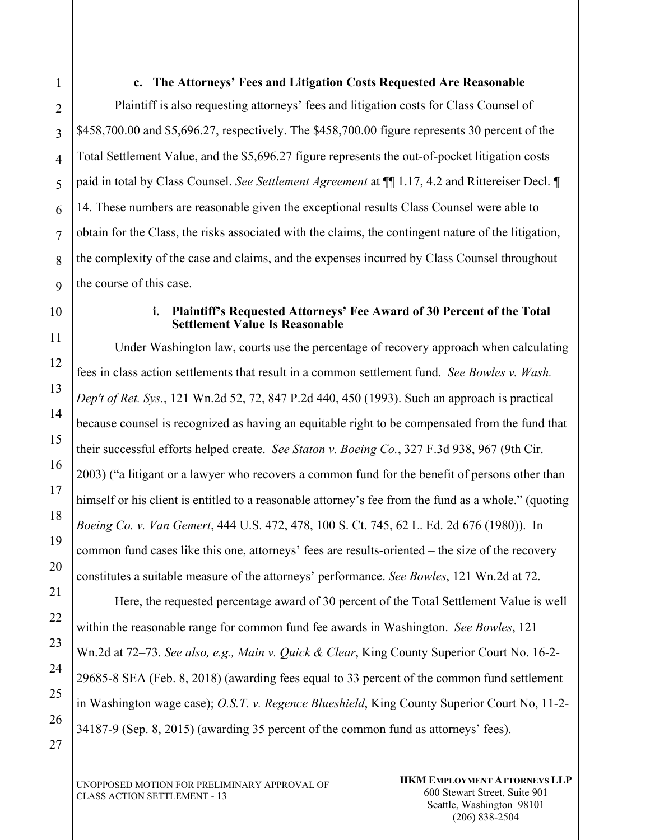**c. The Attorneys' Fees and Litigation Costs Requested Are Reasonable** 

 Plaintiff is also requesting attorneys' fees and litigation costs for Class Counsel of \$458,700.00 and \$5,696.27, respectively. The \$458,700.00 figure represents 30 percent of the Total Settlement Value, and the \$5,696.27 figure represents the out-of-pocket litigation costs paid in total by Class Counsel. *See Settlement Agreement* at ¶¶ 1.17, 4.2 and Rittereiser Decl. ¶ 14. These numbers are reasonable given the exceptional results Class Counsel were able to obtain for the Class, the risks associated with the claims, the contingent nature of the litigation, the complexity of the case and claims, and the expenses incurred by Class Counsel throughout the course of this case.

#### **i. Plaintiff's Requested Attorneys' Fee Award of 30 Percent of the Total Settlement Value Is Reasonable**

Under Washington law, courts use the percentage of recovery approach when calculating fees in class action settlements that result in a common settlement fund. *See Bowles v. Wash. Dep't of Ret. Sys.*, 121 Wn.2d 52, 72, 847 P.2d 440, 450 (1993). Such an approach is practical because counsel is recognized as having an equitable right to be compensated from the fund that their successful efforts helped create. *See Staton v. Boeing Co.*, 327 F.3d 938, 967 (9th Cir. 2003) ("a litigant or a lawyer who recovers a common fund for the benefit of persons other than himself or his client is entitled to a reasonable attorney's fee from the fund as a whole." (quoting *Boeing Co. v. Van Gemert*, 444 U.S. 472, 478, 100 S. Ct. 745, 62 L. Ed. 2d 676 (1980)). In common fund cases like this one, attorneys' fees are results-oriented – the size of the recovery constitutes a suitable measure of the attorneys' performance. *See Bowles*, 121 Wn.2d at 72.

Here, the requested percentage award of 30 percent of the Total Settlement Value is well within the reasonable range for common fund fee awards in Washington. *See Bowles*, 121 Wn.2d at 72–73. *See also, e.g., Main v. Quick & Clear*, King County Superior Court No. 16-2- 29685-8 SEA (Feb. 8, 2018) (awarding fees equal to 33 percent of the common fund settlement in Washington wage case); *O.S.T. v. Regence Blueshield*, King County Superior Court No, 11-2- 34187-9 (Sep. 8, 2015) (awarding 35 percent of the common fund as attorneys' fees).

UNOPPOSED MOTION FOR PRELIMINARY APPROVAL OF CLASS ACTION SETTLEMENT - 13

1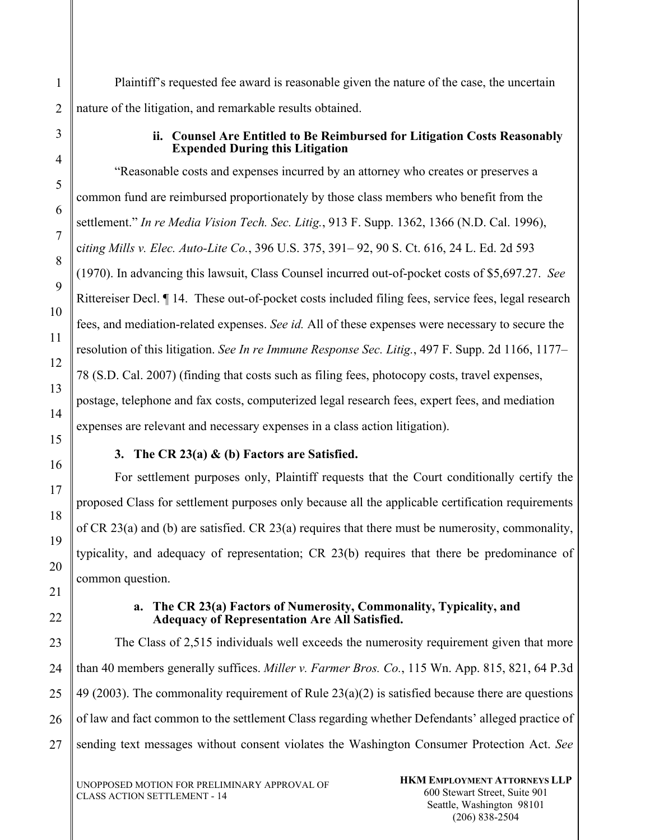Plaintiff's requested fee award is reasonable given the nature of the case, the uncertain nature of the litigation, and remarkable results obtained.

#### **ii. Counsel Are Entitled to Be Reimbursed for Litigation Costs Reasonably Expended During this Litigation**

"Reasonable costs and expenses incurred by an attorney who creates or preserves a common fund are reimbursed proportionately by those class members who benefit from the settlement." *In re Media Vision Tech. Sec. Litig.*, 913 F. Supp. 1362, 1366 (N.D. Cal. 1996), c*iting Mills v. Elec. Auto-Lite Co.*, 396 U.S. 375, 391– 92, 90 S. Ct. 616, 24 L. Ed. 2d 593 (1970). In advancing this lawsuit, Class Counsel incurred out-of-pocket costs of \$5,697.27. *See*  Rittereiser Decl. ¶ 14. These out-of-pocket costs included filing fees, service fees, legal research fees, and mediation-related expenses. *See id.* All of these expenses were necessary to secure the resolution of this litigation. *See In re Immune Response Sec. Litig.*, 497 F. Supp. 2d 1166, 1177– 78 (S.D. Cal. 2007) (finding that costs such as filing fees, photocopy costs, travel expenses, postage, telephone and fax costs, computerized legal research fees, expert fees, and mediation expenses are relevant and necessary expenses in a class action litigation).

## **3. The CR 23(a) & (b) Factors are Satisfied.**

For settlement purposes only, Plaintiff requests that the Court conditionally certify the proposed Class for settlement purposes only because all the applicable certification requirements of CR 23(a) and (b) are satisfied. CR 23(a) requires that there must be numerosity, commonality, typicality, and adequacy of representation; CR 23(b) requires that there be predominance of common question.

## **a. The CR 23(a) Factors of Numerosity, Commonality, Typicality, and Adequacy of Representation Are All Satisfied.**

27 The Class of 2,515 individuals well exceeds the numerosity requirement given that more than 40 members generally suffices. *Miller v. Farmer Bros. Co.*, 115 Wn. App. 815, 821, 64 P.3d 49 (2003). The commonality requirement of Rule 23(a)(2) is satisfied because there are questions of law and fact common to the settlement Class regarding whether Defendants' alleged practice of sending text messages without consent violates the Washington Consumer Protection Act. *See*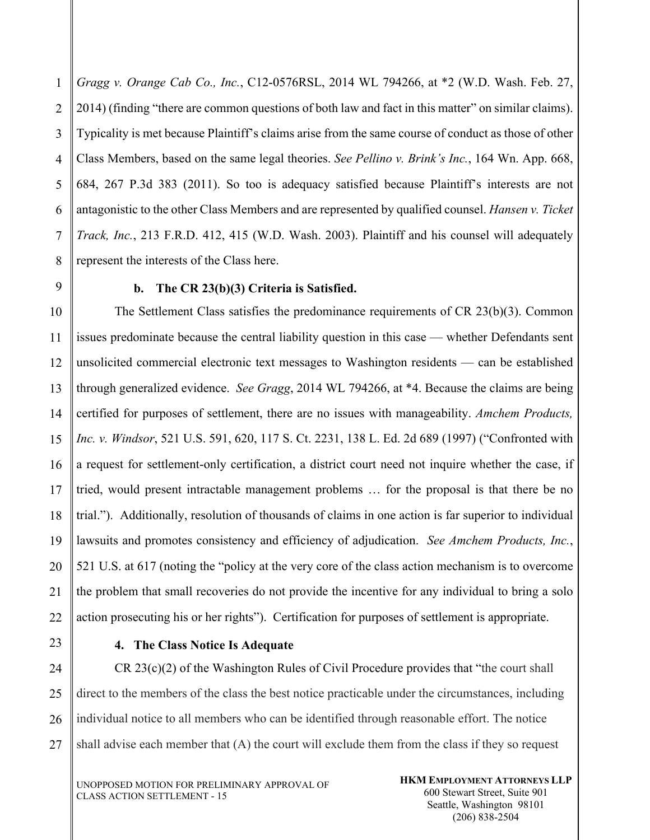1 2 3 4 5 6 7 8 *Gragg v. Orange Cab Co., Inc.*, C12-0576RSL, 2014 WL 794266, at \*2 (W.D. Wash. Feb. 27, 2014) (finding "there are common questions of both law and fact in this matter" on similar claims). Typicality is met because Plaintiff's claims arise from the same course of conduct as those of other Class Members, based on the same legal theories. *See Pellino v. Brink's Inc.*, 164 Wn. App. 668, 684, 267 P.3d 383 (2011). So too is adequacy satisfied because Plaintiff's interests are not antagonistic to the other Class Members and are represented by qualified counsel. *Hansen v. Ticket Track, Inc.*, 213 F.R.D. 412, 415 (W.D. Wash. 2003). Plaintiff and his counsel will adequately represent the interests of the Class here.

9

# **b. The CR 23(b)(3) Criteria is Satisfied.**

10 11 12 13 14 15 16 17 18 19 20 21 The Settlement Class satisfies the predominance requirements of CR 23(b)(3). Common issues predominate because the central liability question in this case — whether Defendants sent unsolicited commercial electronic text messages to Washington residents — can be established through generalized evidence. *See Gragg*, 2014 WL 794266, at \*4. Because the claims are being certified for purposes of settlement, there are no issues with manageability. *Amchem Products, Inc. v. Windsor*, 521 U.S. 591, 620, 117 S. Ct. 2231, 138 L. Ed. 2d 689 (1997) ("Confronted with a request for settlement-only certification, a district court need not inquire whether the case, if tried, would present intractable management problems … for the proposal is that there be no trial."). Additionally, resolution of thousands of claims in one action is far superior to individual lawsuits and promotes consistency and efficiency of adjudication. *See Amchem Products, Inc.*, 521 U.S. at 617 (noting the "policy at the very core of the class action mechanism is to overcome the problem that small recoveries do not provide the incentive for any individual to bring a solo action prosecuting his or her rights"). Certification for purposes of settlement is appropriate.

22 23

# **4. The Class Notice Is Adequate**

24 25 26 27 CR 23(c)(2) of the Washington Rules of Civil Procedure provides that "the court shall direct to the members of the class the best notice practicable under the circumstances, including individual notice to all members who can be identified through reasonable effort. The notice shall advise each member that (A) the court will exclude them from the class if they so request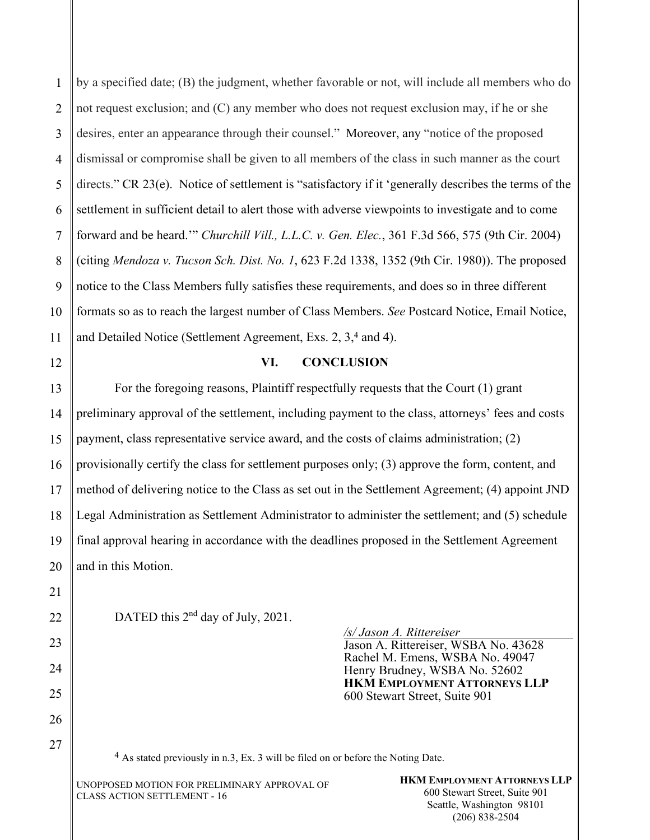1 2 by a specified date; (B) the judgment, whether favorable or not, will include all members who do not request exclusion; and (C) any member who does not request exclusion may, if he or she desires, enter an appearance through their counsel." Moreover, any "notice of the proposed dismissal or compromise shall be given to all members of the class in such manner as the court directs." CR 23(e). Notice of settlement is "satisfactory if it 'generally describes the terms of the settlement in sufficient detail to alert those with adverse viewpoints to investigate and to come forward and be heard.'" *Churchill Vill., L.L.C. v. Gen. Elec.*, 361 F.3d 566, 575 (9th Cir. 2004) (citing *Mendoza v. Tucson Sch. Dist. No. 1*, 623 F.2d 1338, 1352 (9th Cir. 1980)). The proposed notice to the Class Members fully satisfies these requirements, and does so in three different formats so as to reach the largest number of Class Members. *See* Postcard Notice, Email Notice, and Detailed Notice (Settlement Agreement, Exs. 2, 3,4 and 4).

## **VI. CONCLUSION**

For the foregoing reasons, Plaintiff respectfully requests that the Court (1) grant preliminary approval of the settlement, including payment to the class, attorneys' fees and costs payment, class representative service award, and the costs of claims administration; (2) provisionally certify the class for settlement purposes only; (3) approve the form, content, and method of delivering notice to the Class as set out in the Settlement Agreement; (4) appoint JND Legal Administration as Settlement Administrator to administer the settlement; and (5) schedule final approval hearing in accordance with the deadlines proposed in the Settlement Agreement and in this Motion.

DATED this 2<sup>nd</sup> day of July, 2021.

*/s/ Jason A. Rittereiser* 

Jason A. Rittereiser, WSBA No. 43628 Rachel M. Emens, WSBA No. 49047 Henry Brudney, WSBA No. 52602 **HKM EMPLOYMENT ATTORNEYS LLP** 600 Stewart Street, Suite 901

4 As stated previously in n.3, Ex. 3 will be filed on or before the Noting Date.

UNOPPOSED MOTION FOR PRELIMINARY APPROVAL OF CLASS ACTION SETTLEMENT - 16

**HKM EMPLOYMENT ATTORNEYS LLP**  600 Stewart Street, Suite 901 Seattle, Washington 98101 (206) 838-2504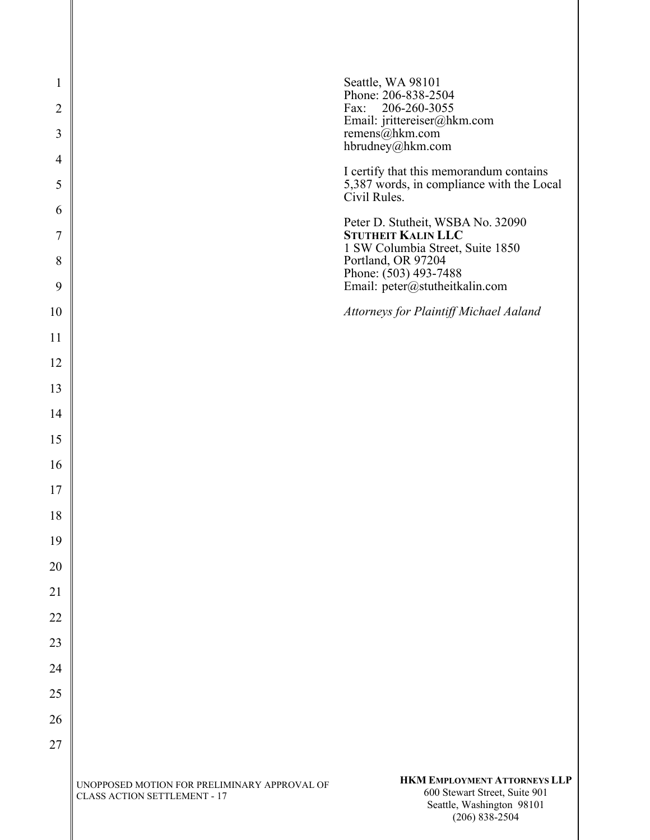| 1 SW Columbia Street, Suite 1850<br>Portland, OR 97204<br>Phone: (503) 493-7488<br>Email: peter@stutheitkalin.com<br>Attorneys for Plaintiff Michael Aaland |
|-------------------------------------------------------------------------------------------------------------------------------------------------------------|
|                                                                                                                                                             |
|                                                                                                                                                             |
|                                                                                                                                                             |
|                                                                                                                                                             |
|                                                                                                                                                             |
|                                                                                                                                                             |
|                                                                                                                                                             |
|                                                                                                                                                             |
|                                                                                                                                                             |
|                                                                                                                                                             |
|                                                                                                                                                             |
|                                                                                                                                                             |
|                                                                                                                                                             |
|                                                                                                                                                             |
|                                                                                                                                                             |
|                                                                                                                                                             |
|                                                                                                                                                             |
| Peter D. Stutheit, WSBA No. 32090<br><b>STUTHEIT KALIN LLC</b>                                                                                              |
| 5,387 words, in compliance with the Local<br>Civil Rules.                                                                                                   |
| I certify that this memorandum contains                                                                                                                     |
| remens@hkm.com<br>hbrudney@hkm.com                                                                                                                          |
|                                                                                                                                                             |
| Fax:<br>206-260-3055<br>Email: jrittereiser@hkm.com                                                                                                         |
|                                                                                                                                                             |

(206) 838-2504